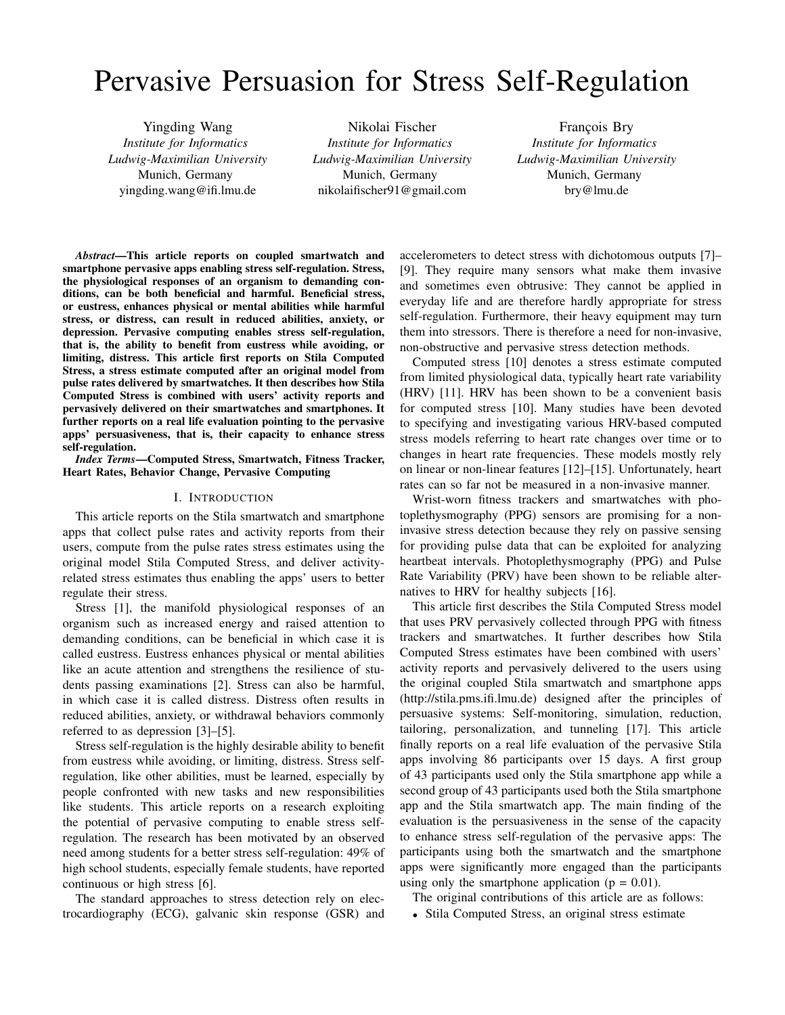# Pervasive Persuasion for Stress Self-Regulation

Yingding Wang *Institute for Informatics Ludwig-Maximilian University* Munich, Germany yingding.wang@ifi.lmu.de

Nikolai Fischer *Institute for Informatics Ludwig-Maximilian University* Munich, Germany nikolaifischer91@gmail.com

François Bry *Institute for Informatics Ludwig-Maximilian University* Munich, Germany bry@lmu.de

*Abstract*—This article reports on coupled smartwatch and smartphone pervasive apps enabling stress self-regulation. Stress, the physiological responses of an organism to demanding conditions, can be both beneficial and harmful. Beneficial stress, or eustress, enhances physical or mental abilities while harmful stress, or distress, can result in reduced abilities, anxiety, or depression. Pervasive computing enables stress self-regulation, that is, the ability to benefit from eustress while avoiding, or limiting, distress. This article first reports on Stila Computed Stress, a stress estimate computed after an original model from pulse rates delivered by smartwatches. It then describes how Stila Computed Stress is combined with users' activity reports and pervasively delivered on their smartwatches and smartphones. It further reports on a real life evaluation pointing to the pervasive apps' persuasiveness, that is, their capacity to enhance stress self-regulation.

*Index Terms*—Computed Stress, Smartwatch, Fitness Tracker, Heart Rates, Behavior Change, Pervasive Computing

#### I. INTRODUCTION

This article reports on the Stila smartwatch and smartphone apps that collect pulse rates and activity reports from their users, compute from the pulse rates stress estimates using the original model Stila Computed Stress, and deliver activityrelated stress estimates thus enabling the apps' users to better regulate their stress.

Stress [1], the manifold physiological responses of an organism such as increased energy and raised attention to demanding conditions, can be beneficial in which case it is called eustress. Eustress enhances physical or mental abilities like an acute attention and strengthens the resilience of students passing examinations [2]. Stress can also be harmful, in which case it is called distress. Distress often results in reduced abilities, anxiety, or withdrawal behaviors commonly referred to as depression [3]–[5].

Stress self-regulation is the highly desirable ability to benefit from eustress while avoiding, or limiting, distress. Stress selfregulation, like other abilities, must be learned, especially by people confronted with new tasks and new responsibilities like students. This article reports on a research exploiting the potential of pervasive computing to enable stress selfregulation. The research has been motivated by an observed need among students for a better stress self-regulation: 49% of high school students, especially female students, have reported continuous or high stress [6].

The standard approaches to stress detection rely on electrocardiography (ECG), galvanic skin response (GSR) and accelerometers to detect stress with dichotomous outputs [7]– [9]. They require many sensors what make them invasive and sometimes even obtrusive: They cannot be applied in everyday life and are therefore hardly appropriate for stress self-regulation. Furthermore, their heavy equipment may turn them into stressors. There is therefore a need for non-invasive, non-obstructive and pervasive stress detection methods.

Computed stress [10] denotes a stress estimate computed from limited physiological data, typically heart rate variability (HRV) [11]. HRV has been shown to be a convenient basis for computed stress [10]. Many studies have been devoted to specifying and investigating various HRV-based computed stress models referring to heart rate changes over time or to changes in heart rate frequencies. These models mostly rely on linear or non-linear features [12]–[15]. Unfortunately, heart rates can so far not be measured in a non-invasive manner.

Wrist-worn fitness trackers and smartwatches with photoplethysmography (PPG) sensors are promising for a noninvasive stress detection because they rely on passive sensing for providing pulse data that can be exploited for analyzing heartbeat intervals. Photoplethysmography (PPG) and Pulse Rate Variability (PRV) have been shown to be reliable alternatives to HRV for healthy subjects [16].

This article first describes the Stila Computed Stress model that uses PRV pervasively collected through PPG with fitness trackers and smartwatches. It further describes how Stila Computed Stress estimates have been combined with users' activity reports and pervasively delivered to the users using the original coupled Stila smartwatch and smartphone apps (http://stila.pms.ifi.lmu.de) designed after the principles of persuasive systems: Self-monitoring, simulation, reduction, tailoring, personalization, and tunneling [17]. This article finally reports on a real life evaluation of the pervasive Stila apps involving 86 participants over 15 days. A first group of 43 participants used only the Stila smartphone app while a second group of 43 participants used both the Stila smartphone app and the Stila smartwatch app. The main finding of the evaluation is the persuasiveness in the sense of the capacity to enhance stress self-regulation of the pervasive apps: The participants using both the smartwatch and the smartphone apps were significantly more engaged than the participants using only the smartphone application ( $p = 0.01$ ).

The original contributions of this article are as follows:

• Stila Computed Stress, an original stress estimate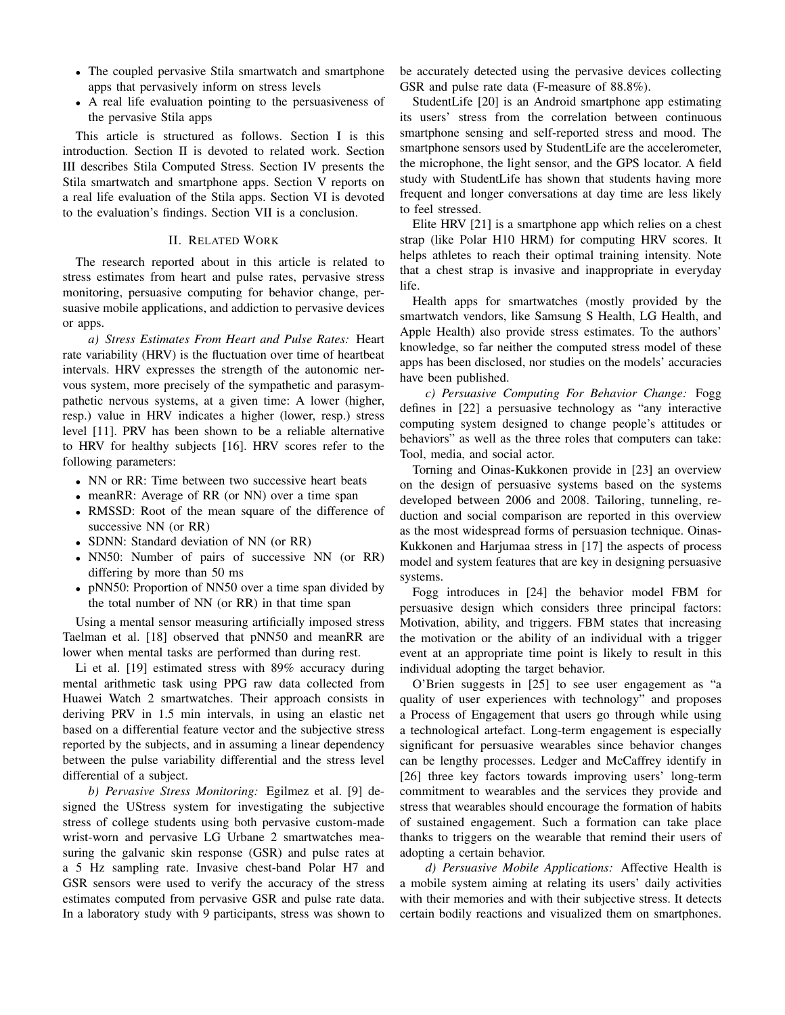- The coupled pervasive Stila smartwatch and smartphone apps that pervasively inform on stress levels
- A real life evaluation pointing to the persuasiveness of the pervasive Stila apps

This article is structured as follows. Section I is this introduction. Section II is devoted to related work. Section III describes Stila Computed Stress. Section IV presents the Stila smartwatch and smartphone apps. Section V reports on a real life evaluation of the Stila apps. Section VI is devoted to the evaluation's findings. Section VII is a conclusion.

## II. RELATED WORK

The research reported about in this article is related to stress estimates from heart and pulse rates, pervasive stress monitoring, persuasive computing for behavior change, persuasive mobile applications, and addiction to pervasive devices or apps.

*a) Stress Estimates From Heart and Pulse Rates:* Heart rate variability (HRV) is the fluctuation over time of heartbeat intervals. HRV expresses the strength of the autonomic nervous system, more precisely of the sympathetic and parasympathetic nervous systems, at a given time: A lower (higher, resp.) value in HRV indicates a higher (lower, resp.) stress level [11]. PRV has been shown to be a reliable alternative to HRV for healthy subjects [16]. HRV scores refer to the following parameters:

- NN or RR: Time between two successive heart beats
- meanRR: Average of RR (or NN) over a time span
- RMSSD: Root of the mean square of the difference of successive NN (or RR)
- SDNN: Standard deviation of NN (or RR)
- NN50: Number of pairs of successive NN (or RR) differing by more than 50 ms
- pNN50: Proportion of NN50 over a time span divided by the total number of NN (or RR) in that time span

Using a mental sensor measuring artificially imposed stress Taelman et al. [18] observed that pNN50 and meanRR are lower when mental tasks are performed than during rest.

Li et al. [19] estimated stress with 89% accuracy during mental arithmetic task using PPG raw data collected from Huawei Watch 2 smartwatches. Their approach consists in deriving PRV in 1.5 min intervals, in using an elastic net based on a differential feature vector and the subjective stress reported by the subjects, and in assuming a linear dependency between the pulse variability differential and the stress level differential of a subject.

*b) Pervasive Stress Monitoring:* Egilmez et al. [9] designed the UStress system for investigating the subjective stress of college students using both pervasive custom-made wrist-worn and pervasive LG Urbane 2 smartwatches measuring the galvanic skin response (GSR) and pulse rates at a 5 Hz sampling rate. Invasive chest-band Polar H7 and GSR sensors were used to verify the accuracy of the stress estimates computed from pervasive GSR and pulse rate data. In a laboratory study with 9 participants, stress was shown to be accurately detected using the pervasive devices collecting GSR and pulse rate data (F-measure of 88.8%).

StudentLife [20] is an Android smartphone app estimating its users' stress from the correlation between continuous smartphone sensing and self-reported stress and mood. The smartphone sensors used by StudentLife are the accelerometer, the microphone, the light sensor, and the GPS locator. A field study with StudentLife has shown that students having more frequent and longer conversations at day time are less likely to feel stressed.

Elite HRV [21] is a smartphone app which relies on a chest strap (like Polar H10 HRM) for computing HRV scores. It helps athletes to reach their optimal training intensity. Note that a chest strap is invasive and inappropriate in everyday life.

Health apps for smartwatches (mostly provided by the smartwatch vendors, like Samsung S Health, LG Health, and Apple Health) also provide stress estimates. To the authors' knowledge, so far neither the computed stress model of these apps has been disclosed, nor studies on the models' accuracies have been published.

*c) Persuasive Computing For Behavior Change:* Fogg defines in [22] a persuasive technology as "any interactive computing system designed to change people's attitudes or behaviors" as well as the three roles that computers can take: Tool, media, and social actor.

Torning and Oinas-Kukkonen provide in [23] an overview on the design of persuasive systems based on the systems developed between 2006 and 2008. Tailoring, tunneling, reduction and social comparison are reported in this overview as the most widespread forms of persuasion technique. Oinas-Kukkonen and Harjumaa stress in [17] the aspects of process model and system features that are key in designing persuasive systems.

Fogg introduces in [24] the behavior model FBM for persuasive design which considers three principal factors: Motivation, ability, and triggers. FBM states that increasing the motivation or the ability of an individual with a trigger event at an appropriate time point is likely to result in this individual adopting the target behavior.

O'Brien suggests in [25] to see user engagement as "a quality of user experiences with technology" and proposes a Process of Engagement that users go through while using a technological artefact. Long-term engagement is especially significant for persuasive wearables since behavior changes can be lengthy processes. Ledger and McCaffrey identify in [26] three key factors towards improving users' long-term commitment to wearables and the services they provide and stress that wearables should encourage the formation of habits of sustained engagement. Such a formation can take place thanks to triggers on the wearable that remind their users of adopting a certain behavior.

*d) Persuasive Mobile Applications:* Affective Health is a mobile system aiming at relating its users' daily activities with their memories and with their subjective stress. It detects certain bodily reactions and visualized them on smartphones.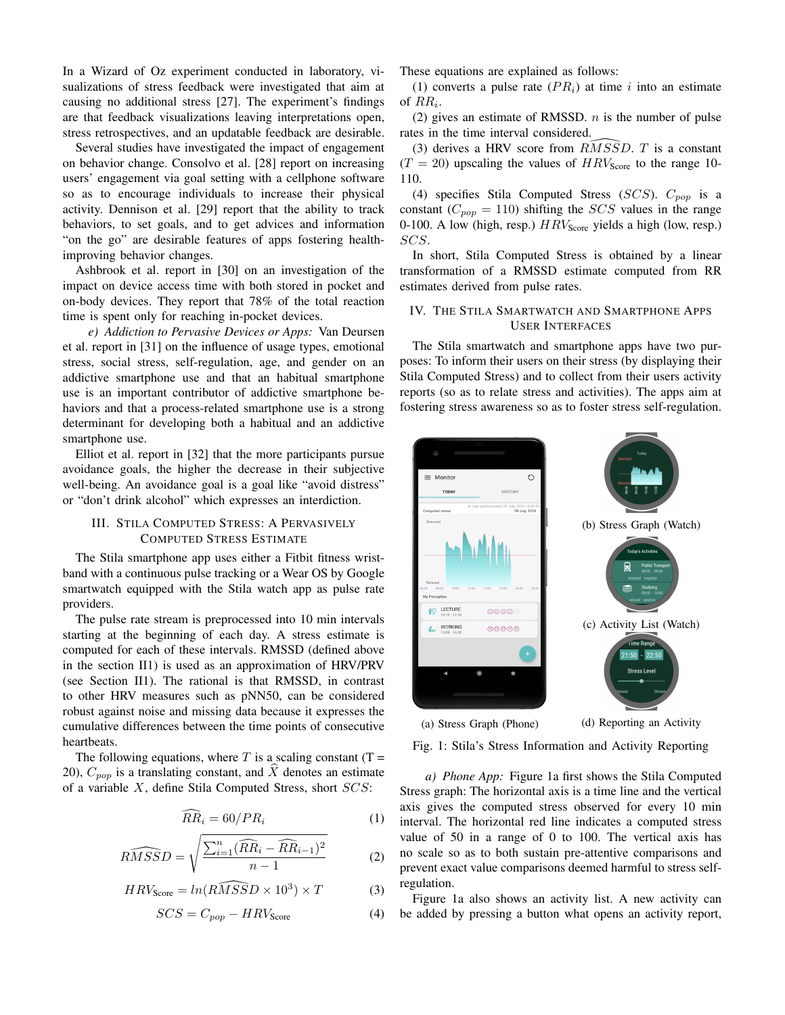In a Wizard of Oz experiment conducted in laboratory, visualizations of stress feedback were investigated that aim at causing no additional stress [27]. The experiment's findings are that feedback visualizations leaving interpretations open, stress retrospectives, and an updatable feedback are desirable.

Several studies have investigated the impact of engagement on behavior change. Consolvo et al. [28] report on increasing users' engagement via goal setting with a cellphone software so as to encourage individuals to increase their physical activity. Dennison et al. [29] report that the ability to track behaviors, to set goals, and to get advices and information "on the go" are desirable features of apps fostering healthimproving behavior changes.

Ashbrook et al. report in [30] on an investigation of the impact on device access time with both stored in pocket and on-body devices. They report that 78% of the total reaction time is spent only for reaching in-pocket devices.

*e) Addiction to Pervasive Devices or Apps:* Van Deursen et al. report in [31] on the influence of usage types, emotional stress, social stress, self-regulation, age, and gender on an addictive smartphone use and that an habitual smartphone use is an important contributor of addictive smartphone behaviors and that a process-related smartphone use is a strong determinant for developing both a habitual and an addictive smartphone use.

Elliot et al. report in [32] that the more participants pursue avoidance goals, the higher the decrease in their subjective well-being. An avoidance goal is a goal like "avoid distress" or "don't drink alcohol" which expresses an interdiction.

# III. STILA COMPUTED STRESS: A PERVASIVELY COMPUTED STRESS ESTIMATE

The Stila smartphone app uses either a Fitbit fitness wristband with a continuous pulse tracking or a Wear OS by Google smartwatch equipped with the Stila watch app as pulse rate providers.

The pulse rate stream is preprocessed into 10 min intervals starting at the beginning of each day. A stress estimate is computed for each of these intervals. RMSSD (defined above in the section II1) is used as an approximation of HRV/PRV (see Section II1). The rational is that RMSSD, in contrast to other HRV measures such as pNN50, can be considered robust against noise and missing data because it expresses the cumulative differences between the time points of consecutive heartbeats.

The following equations, where  $T$  is a scaling constant (T = 20),  $C_{pop}$  is a translating constant, and X denotes an estimate of a variable  $X$ , define Stila Computed Stress, short  $SCS$ :

$$
\widehat{RR}_i = 60/PR_i \tag{1}
$$

$$
\widehat{RMSSD} = \sqrt{\frac{\sum_{i=1}^{n} (\widehat{RR}_i - \widehat{RR}_{i-1})^2}{n-1}}
$$
(2)

$$
HRV_{\text{Score}} = ln(R\widehat{MSS}D \times 10^3) \times T \tag{3}
$$

$$
SCS = C_{pop} - HRV_{\text{Score}} \tag{4}
$$

These equations are explained as follows:

(1) converts a pulse rate  $(PR_i)$  at time i into an estimate of  $RR_i$ .

(2) gives an estimate of RMSSD.  $n$  is the number of pulse rates in the time interval considered.

(3) derives a HRV score from  $R\widetilde{M}S\widetilde{S}D$ . T is a constant  $(T = 20)$  upscaling the values of  $HRV_{\text{Score}}$  to the range 10-110.

(4) specifies Stila Computed Stress ( $SCS$ ).  $C_{pop}$  is a constant ( $C_{pop} = 110$ ) shifting the *SCS* values in the range 0-100. A low (high, resp.)  $HRV_{\text{Score}}$  yields a high (low, resp.) SCS.

In short, Stila Computed Stress is obtained by a linear transformation of a RMSSD estimate computed from RR estimates derived from pulse rates.

## IV. THE STILA SMARTWATCH AND SMARTPHONE APPS USER INTERFACES

The Stila smartwatch and smartphone apps have two purposes: To inform their users on their stress (by displaying their Stila Computed Stress) and to collect from their users activity reports (so as to relate stress and activities). The apps aim at fostering stress awareness so as to foster stress self-regulation.



Fig. 1: Stila's Stress Information and Activity Reporting

*a) Phone App:* Figure 1a first shows the Stila Computed Stress graph: The horizontal axis is a time line and the vertical axis gives the computed stress observed for every 10 min interval. The horizontal red line indicates a computed stress value of 50 in a range of 0 to 100. The vertical axis has no scale so as to both sustain pre-attentive comparisons and prevent exact value comparisons deemed harmful to stress selfregulation.

Figure 1a also shows an activity list. A new activity can be added by pressing a button what opens an activity report,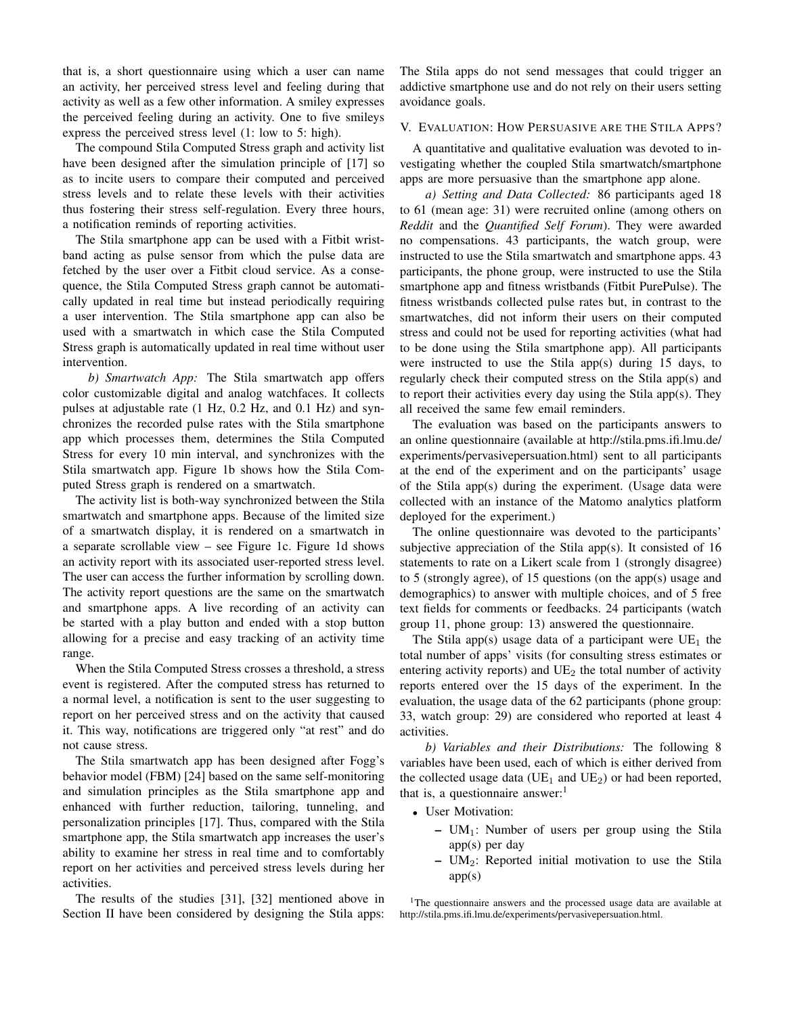that is, a short questionnaire using which a user can name an activity, her perceived stress level and feeling during that activity as well as a few other information. A smiley expresses the perceived feeling during an activity. One to five smileys express the perceived stress level (1: low to 5: high).

The compound Stila Computed Stress graph and activity list have been designed after the simulation principle of [17] so as to incite users to compare their computed and perceived stress levels and to relate these levels with their activities thus fostering their stress self-regulation. Every three hours, a notification reminds of reporting activities.

The Stila smartphone app can be used with a Fitbit wristband acting as pulse sensor from which the pulse data are fetched by the user over a Fitbit cloud service. As a consequence, the Stila Computed Stress graph cannot be automatically updated in real time but instead periodically requiring a user intervention. The Stila smartphone app can also be used with a smartwatch in which case the Stila Computed Stress graph is automatically updated in real time without user intervention.

*b) Smartwatch App:* The Stila smartwatch app offers color customizable digital and analog watchfaces. It collects pulses at adjustable rate (1 Hz, 0.2 Hz, and 0.1 Hz) and synchronizes the recorded pulse rates with the Stila smartphone app which processes them, determines the Stila Computed Stress for every 10 min interval, and synchronizes with the Stila smartwatch app. Figure 1b shows how the Stila Computed Stress graph is rendered on a smartwatch.

The activity list is both-way synchronized between the Stila smartwatch and smartphone apps. Because of the limited size of a smartwatch display, it is rendered on a smartwatch in a separate scrollable view – see Figure 1c. Figure 1d shows an activity report with its associated user-reported stress level. The user can access the further information by scrolling down. The activity report questions are the same on the smartwatch and smartphone apps. A live recording of an activity can be started with a play button and ended with a stop button allowing for a precise and easy tracking of an activity time range.

When the Stila Computed Stress crosses a threshold, a stress event is registered. After the computed stress has returned to a normal level, a notification is sent to the user suggesting to report on her perceived stress and on the activity that caused it. This way, notifications are triggered only "at rest" and do not cause stress.

The Stila smartwatch app has been designed after Fogg's behavior model (FBM) [24] based on the same self-monitoring and simulation principles as the Stila smartphone app and enhanced with further reduction, tailoring, tunneling, and personalization principles [17]. Thus, compared with the Stila smartphone app, the Stila smartwatch app increases the user's ability to examine her stress in real time and to comfortably report on her activities and perceived stress levels during her activities.

The results of the studies [31], [32] mentioned above in Section II have been considered by designing the Stila apps: The Stila apps do not send messages that could trigger an addictive smartphone use and do not rely on their users setting avoidance goals.

# V. EVALUATION: HOW PERSUASIVE ARE THE STILA APPS?

A quantitative and qualitative evaluation was devoted to investigating whether the coupled Stila smartwatch/smartphone apps are more persuasive than the smartphone app alone.

*a) Setting and Data Collected:* 86 participants aged 18 to 61 (mean age: 31) were recruited online (among others on *Reddit* and the *Quantified Self Forum*). They were awarded no compensations. 43 participants, the watch group, were instructed to use the Stila smartwatch and smartphone apps. 43 participants, the phone group, were instructed to use the Stila smartphone app and fitness wristbands (Fitbit PurePulse). The fitness wristbands collected pulse rates but, in contrast to the smartwatches, did not inform their users on their computed stress and could not be used for reporting activities (what had to be done using the Stila smartphone app). All participants were instructed to use the Stila app(s) during 15 days, to regularly check their computed stress on the Stila app(s) and to report their activities every day using the Stila app(s). They all received the same few email reminders.

The evaluation was based on the participants answers to an online questionnaire (available at http://stila.pms.ifi.lmu.de/ experiments/pervasivepersuation.html) sent to all participants at the end of the experiment and on the participants' usage of the Stila app(s) during the experiment. (Usage data were collected with an instance of the Matomo analytics platform deployed for the experiment.)

The online questionnaire was devoted to the participants' subjective appreciation of the Stila app(s). It consisted of 16 statements to rate on a Likert scale from 1 (strongly disagree) to 5 (strongly agree), of 15 questions (on the app(s) usage and demographics) to answer with multiple choices, and of 5 free text fields for comments or feedbacks. 24 participants (watch group 11, phone group: 13) answered the questionnaire.

The Stila app(s) usage data of a participant were  $UE<sub>1</sub>$  the total number of apps' visits (for consulting stress estimates or entering activity reports) and  $UE<sub>2</sub>$  the total number of activity reports entered over the 15 days of the experiment. In the evaluation, the usage data of the 62 participants (phone group: 33, watch group: 29) are considered who reported at least 4 activities.

*b) Variables and their Distributions:* The following 8 variables have been used, each of which is either derived from the collected usage data ( $UE_1$  and  $UE_2$ ) or had been reported, that is, a questionnaire answer: $<sup>1</sup>$ </sup>

- User Motivation:
	- $UM_1$ : Number of users per group using the Stila app(s) per day
	- $-$  UM<sub>2</sub>: Reported initial motivation to use the Stila  $app(s)$

<sup>1</sup>The questionnaire answers and the processed usage data are available at http://stila.pms.ifi.lmu.de/experiments/pervasivepersuation.html.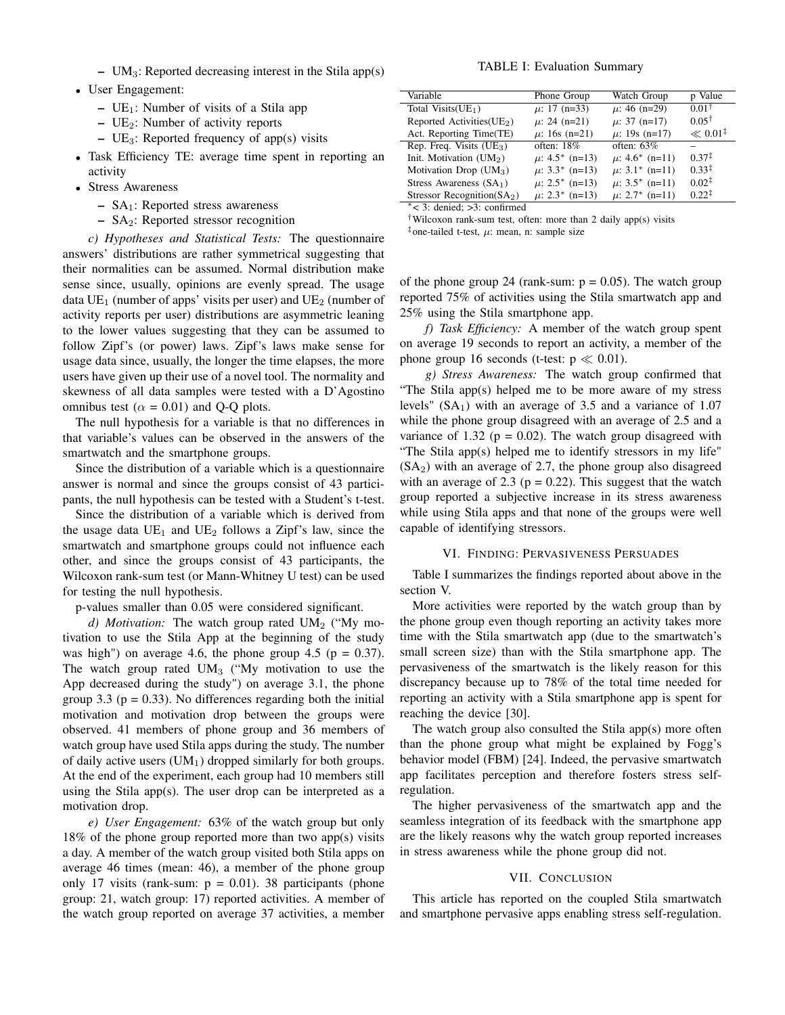- $UM_3$ : Reported decreasing interest in the Stila app $(s)$
- User Engagement:
	- $UE_1$ : Number of visits of a Stila app
	- $UE<sub>2</sub>$ : Number of activity reports
	- $UE_3$ : Reported frequency of app(s) visits
- Task Efficiency TE: average time spent in reporting an activity
- Stress Awareness
	- SA1: Reported stress awareness
	- SA2: Reported stressor recognition

*c) Hypotheses and Statistical Tests:* The questionnaire answers' distributions are rather symmetrical suggesting that their normalities can be assumed. Normal distribution make sense since, usually, opinions are evenly spread. The usage data  $UE_1$  (number of apps' visits per user) and  $UE_2$  (number of activity reports per user) distributions are asymmetric leaning to the lower values suggesting that they can be assumed to follow Zipf's (or power) laws. Zipf's laws make sense for usage data since, usually, the longer the time elapses, the more users have given up their use of a novel tool. The normality and skewness of all data samples were tested with a D'Agostino omnibus test ( $\alpha = 0.01$ ) and Q-Q plots.

The null hypothesis for a variable is that no differences in that variable's values can be observed in the answers of the smartwatch and the smartphone groups.

Since the distribution of a variable which is a questionnaire answer is normal and since the groups consist of 43 participants, the null hypothesis can be tested with a Student's t-test.

Since the distribution of a variable which is derived from the usage data  $UE<sub>1</sub>$  and  $UE<sub>2</sub>$  follows a Zipf's law, since the smartwatch and smartphone groups could not influence each other, and since the groups consist of 43 participants, the Wilcoxon rank-sum test (or Mann-Whitney U test) can be used for testing the null hypothesis.

p-values smaller than 0.05 were considered significant.

*d) Motivation:* The watch group rated  $UM_2$  ("My motivation to use the Stila App at the beginning of the study was high") on average 4.6, the phone group 4.5 ( $p = 0.37$ ). The watch group rated  $UM_3$  ("My motivation to use the App decreased during the study") on average 3.1, the phone group 3.3 ( $p = 0.33$ ). No differences regarding both the initial motivation and motivation drop between the groups were observed. 41 members of phone group and 36 members of watch group have used Stila apps during the study. The number of daily active users  $(UM_1)$  dropped similarly for both groups. At the end of the experiment, each group had 10 members still using the Stila app(s). The user drop can be interpreted as a motivation drop.

*e) User Engagement:* 63% of the watch group but only 18% of the phone group reported more than two app(s) visits a day. A member of the watch group visited both Stila apps on average 46 times (mean: 46), a member of the phone group only 17 visits (rank-sum:  $p = 0.01$ ). 38 participants (phone group: 21, watch group: 17) reported activities. A member of the watch group reported on average 37 activities, a member

### TABLE I: Evaluation Summary

| Variable                      | Phone Group         | Watch Group         | p Value               |
|-------------------------------|---------------------|---------------------|-----------------------|
| Total Visits $(UE1)$          | $\mu$ : 17 (n=33)   | $\mu$ : 46 (n=29)   | $0.01^+$              |
| Reported Activities $(UE2)$   | $\mu$ : 24 (n=21)   | $\mu$ : 37 (n=17)   | $0.05^{\dagger}$      |
| Act. Reporting Time(TE)       | $\mu$ : 16s (n=21)  | $\mu$ : 19s (n=17)  | $\ll 0.01^{\ddagger}$ |
| Rep. Freq. Visits $(UE3)$     | often: $18\%$       | often: $63\%$       |                       |
| Init. Motivation $(UM2)$      | $\mu$ : 4.5* (n=13) | $\mu$ : 4.6* (n=11) | $0.37^{\ddagger}$     |
| Motivation Drop $(UM_3)$      | $\mu$ : 3.3* (n=13) | $\mu$ : 3.1* (n=11) | $0.33^{\ddagger}$     |
| Stress Awareness $(SA1)$      | $\mu$ : 2.5* (n=13) | $\mu$ : 3.5* (n=11) | $0.02^{\ddagger}$     |
| Stressor Recognition( $SA2$ ) | $\mu$ : 2.3* (n=13) | $\mu$ : 2.7* (n=11) | $0.22^{\ddagger}$     |
| .                             |                     |                     |                       |

<sup>∗</sup>< 3: denied; >3: confirmed

†Wilcoxon rank-sum test, often: more than 2 daily app(s) visits

 $\frac{1}{2}$ one-tailed t-test,  $\mu$ : mean, n: sample size

of the phone group 24 (rank-sum:  $p = 0.05$ ). The watch group reported 75% of activities using the Stila smartwatch app and 25% using the Stila smartphone app.

*f) Task Efficiency:* A member of the watch group spent on average 19 seconds to report an activity, a member of the phone group 16 seconds (t-test:  $p \ll 0.01$ ).

*g) Stress Awareness:* The watch group confirmed that "The Stila app(s) helped me to be more aware of my stress levels"  $(SA_1)$  with an average of 3.5 and a variance of 1.07 while the phone group disagreed with an average of 2.5 and a variance of 1.32 ( $p = 0.02$ ). The watch group disagreed with "The Stila app(s) helped me to identify stressors in my life"  $(SA<sub>2</sub>)$  with an average of 2.7, the phone group also disagreed with an average of 2.3 ( $p = 0.22$ ). This suggest that the watch group reported a subjective increase in its stress awareness while using Stila apps and that none of the groups were well capable of identifying stressors.

#### VI. FINDING: PERVASIVENESS PERSUADES

Table I summarizes the findings reported about above in the section V.

More activities were reported by the watch group than by the phone group even though reporting an activity takes more time with the Stila smartwatch app (due to the smartwatch's small screen size) than with the Stila smartphone app. The pervasiveness of the smartwatch is the likely reason for this discrepancy because up to 78% of the total time needed for reporting an activity with a Stila smartphone app is spent for reaching the device [30].

The watch group also consulted the Stila app(s) more often than the phone group what might be explained by Fogg's behavior model (FBM) [24]. Indeed, the pervasive smartwatch app facilitates perception and therefore fosters stress selfregulation.

The higher pervasiveness of the smartwatch app and the seamless integration of its feedback with the smartphone app are the likely reasons why the watch group reported increases in stress awareness while the phone group did not.

## VII. CONCLUSION

This article has reported on the coupled Stila smartwatch and smartphone pervasive apps enabling stress self-regulation.